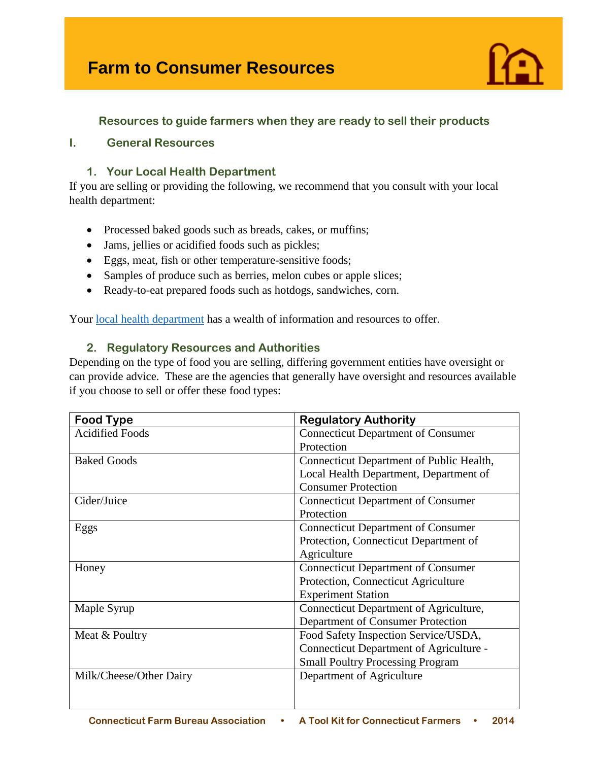# **Farm to Consumer Resources**



# **Resources to guide farmers when they are ready to sell their products**

# **I. General Resources**

## **1. Your Local Health Department**

If you are selling or providing the following, we recommend that you consult with your local health department:

- Processed baked goods such as breads, cakes, or muffins;
- Jams, jellies or acidified foods such as pickles;
- Eggs, meat, fish or other temperature-sensitive foods;
- Samples of produce such as berries, melon cubes or apple slices;
- Ready-to-eat prepared foods such as hotdogs, sandwiches, corn.

Your [local health department](http://www.ct.gov/doag/lib/doag/marketing_files/Appendex__A._LocalHealth.pdf) has a wealth of information and resources to offer.

## **2. Regulatory Resources and Authorities**

Depending on the type of food you are selling, differing government entities have oversight or can provide advice. These are the agencies that generally have oversight and resources available if you choose to sell or offer these food types:

| <b>Food Type</b>        | <b>Regulatory Authority</b>               |
|-------------------------|-------------------------------------------|
| <b>Acidified Foods</b>  | <b>Connecticut Department of Consumer</b> |
|                         | Protection                                |
| <b>Baked Goods</b>      | Connecticut Department of Public Health,  |
|                         | Local Health Department, Department of    |
|                         | <b>Consumer Protection</b>                |
| Cider/Juice             | <b>Connecticut Department of Consumer</b> |
|                         | Protection                                |
| Eggs                    | <b>Connecticut Department of Consumer</b> |
|                         | Protection, Connecticut Department of     |
|                         | Agriculture                               |
| Honey                   | <b>Connecticut Department of Consumer</b> |
|                         | Protection, Connecticut Agriculture       |
|                         | <b>Experiment Station</b>                 |
| Maple Syrup             | Connecticut Department of Agriculture,    |
|                         | Department of Consumer Protection         |
| Meat & Poultry          | Food Safety Inspection Service/USDA,      |
|                         | Connecticut Department of Agriculture -   |
|                         | <b>Small Poultry Processing Program</b>   |
| Milk/Cheese/Other Dairy | Department of Agriculture                 |
|                         |                                           |
|                         |                                           |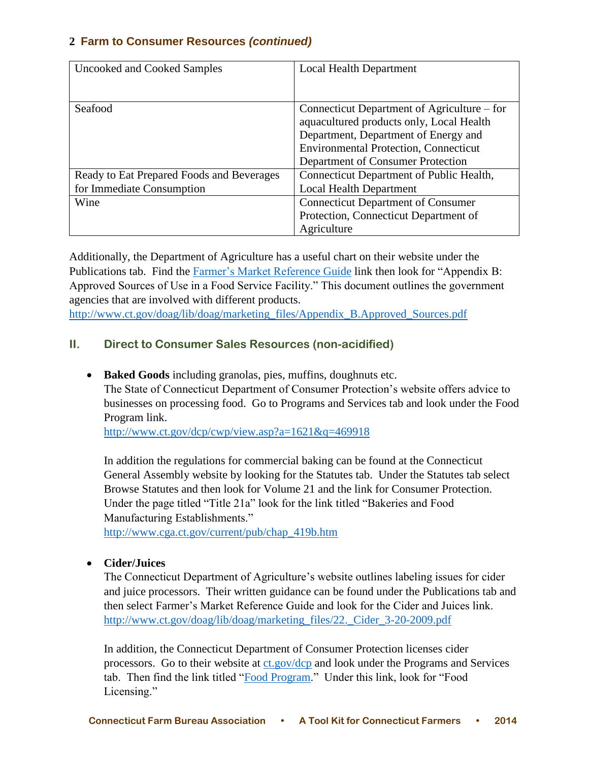| Uncooked and Cooked Samples               | <b>Local Health Department</b>               |
|-------------------------------------------|----------------------------------------------|
|                                           |                                              |
| Seafood                                   | Connecticut Department of Agriculture – for  |
|                                           | aquacultured products only, Local Health     |
|                                           | Department, Department of Energy and         |
|                                           | <b>Environmental Protection, Connecticut</b> |
|                                           | Department of Consumer Protection            |
| Ready to Eat Prepared Foods and Beverages | Connecticut Department of Public Health,     |
| for Immediate Consumption                 | <b>Local Health Department</b>               |
| Wine                                      | <b>Connecticut Department of Consumer</b>    |
|                                           | Protection, Connecticut Department of        |
|                                           | Agriculture                                  |

Additionally, the Department of Agriculture has a useful chart on their website under the Publications tab. Find the [Farmer's Market Reference Guide](http://www.ct.gov/doag/cwp/view.asp?a=3260&q=448674) link then look for "Appendix B: Approved Sources of Use in a Food Service Facility." This document outlines the government agencies that are involved with different products.

[http://www.ct.gov/doag/lib/doag/marketing\\_files/Appendix\\_B.Approved\\_Sources.pdf](http://www.ct.gov/doag/lib/doag/marketing_files/Appendix_B.Approved_Sources.pdf)

# **II. Direct to Consumer Sales Resources (non-acidified)**

**Baked Goods** including granolas, pies, muffins, doughnuts etc.

The State of Connecticut Department of Consumer Protection's website offers advice to businesses on processing food. Go to Programs and Services tab and look under the Food Program link.

<http://www.ct.gov/dcp/cwp/view.asp?a=1621&q=469918>

In addition the regulations for commercial baking can be found at the Connecticut General Assembly website by looking for the Statutes tab. Under the Statutes tab select Browse Statutes and then look for Volume 21 and the link for Consumer Protection. Under the page titled "Title 21a" look for the link titled "Bakeries and Food Manufacturing Establishments."

[http://www.cga.ct.gov/current/pub/chap\\_419b.htm](http://www.cga.ct.gov/current/pub/chap_419b.htm)

# **Cider/Juices**

The Connecticut Department of Agriculture's website outlines labeling issues for cider and juice processors. Their written guidance can be found under the Publications tab and then select Farmer's Market Reference Guide and look for the Cider and Juices link. [http://www.ct.gov/doag/lib/doag/marketing\\_files/22.\\_Cider\\_3-20-2009.pdf](http://www.ct.gov/doag/lib/doag/marketing_files/22._Cider_3-20-2009.pdf)

In addition, the Connecticut Department of Consumer Protection licenses cider processors. Go to their website at  $ct.gov/dcp$  and look under the Programs and Services tab. Then find the link titled ["Food Program.](http://www.ct.gov/dcp/cwp/view.asp?a=1621&q=434780)" Under this link, look for "Food Licensing."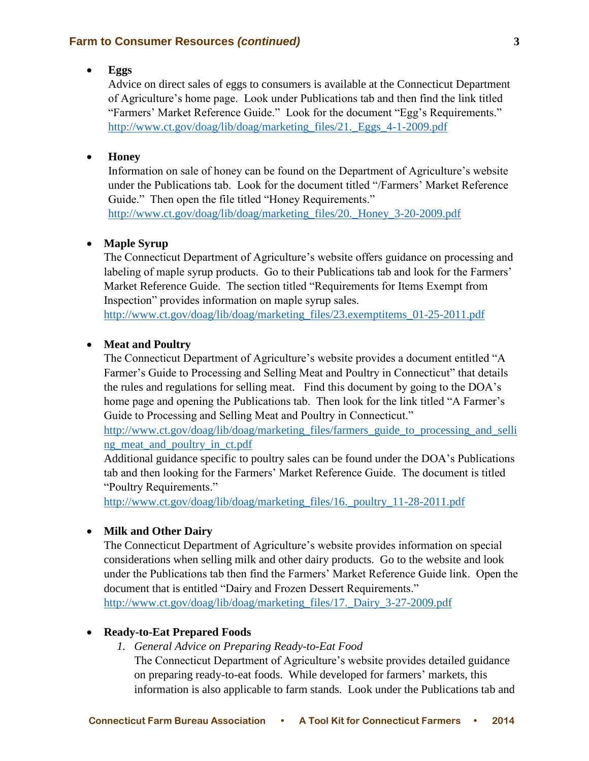#### **Eggs**

Advice on direct sales of eggs to consumers is available at the Connecticut Department of Agriculture's home page. Look under Publications tab and then find the link titled "Farmers' Market Reference Guide." Look for the document "Egg's Requirements." [http://www.ct.gov/doag/lib/doag/marketing\\_files/21.\\_Eggs\\_4-1-2009.pdf](http://www.ct.gov/doag/lib/doag/marketing_files/21._Eggs_4-1-2009.pdf)

#### **Honey**

Information on sale of honey can be found on the Department of Agriculture's website under the Publications tab. Look for the document titled "/Farmers' Market Reference Guide." Then open the file titled "Honey Requirements." [http://www.ct.gov/doag/lib/doag/marketing\\_files/20.\\_Honey\\_3-20-2009.pdf](http://www.ct.gov/doag/lib/doag/marketing_files/20._Honey_3-20-2009.pdf)

#### **Maple Syrup**

The Connecticut Department of Agriculture's website offers guidance on processing and labeling of maple syrup products. Go to their Publications tab and look for the Farmers' Market Reference Guide. The section titled "Requirements for Items Exempt from Inspection" provides information on maple syrup sales.

[http://www.ct.gov/doag/lib/doag/marketing\\_files/23.exemptitems\\_01-25-2011.pdf](http://www.ct.gov/doag/lib/doag/marketing_files/23.exemptitems_01-25-2011.pdf)

## **Meat and Poultry**

The Connecticut Department of Agriculture's website provides a document entitled "A Farmer's Guide to Processing and Selling Meat and Poultry in Connecticut" that details the rules and regulations for selling meat. Find this document by going to the DOA's home page and opening the Publications tab. Then look for the link titled "A Farmer's Guide to Processing and Selling Meat and Poultry in Connecticut."

[http://www.ct.gov/doag/lib/doag/marketing\\_files/farmers\\_guide\\_to\\_processing\\_and\\_selli](http://www.ct.gov/doag/lib/doag/marketing_files/farmers_guide_to_processing_and_selling_meat_and_poultry_in_ct.pdf)\_ [ng\\_meat\\_and\\_poultry\\_in\\_ct.pdf](http://www.ct.gov/doag/lib/doag/marketing_files/farmers_guide_to_processing_and_selling_meat_and_poultry_in_ct.pdf)

Additional guidance specific to poultry sales can be found under the DOA's Publications tab and then looking for the Farmers' Market Reference Guide. The document is titled "Poultry Requirements."

http://www.ct.gov/doag/lib/doag/marketing\_files/16.\_poultry\_11-28-2011.pdf

## **Milk and Other Dairy**

The Connecticut Department of Agriculture's website provides information on special considerations when selling milk and other dairy products. Go to the website and look under the Publications tab then find the Farmers' Market Reference Guide link. Open the document that is entitled "Dairy and Frozen Dessert Requirements." [http://www.ct.gov/doag/lib/doag/marketing\\_files/17.\\_Dairy\\_3-27-2009.pdf](http://www.ct.gov/doag/lib/doag/marketing_files/17._Dairy_3-27-2009.pdf)

#### **Ready-to-Eat Prepared Foods**

*1. General Advice on Preparing Ready-to-Eat Food*  The Connecticut Department of Agriculture's website provides detailed guidance on preparing ready-to-eat foods. While developed for farmers' markets, this information is also applicable to farm stands. Look under the Publications tab and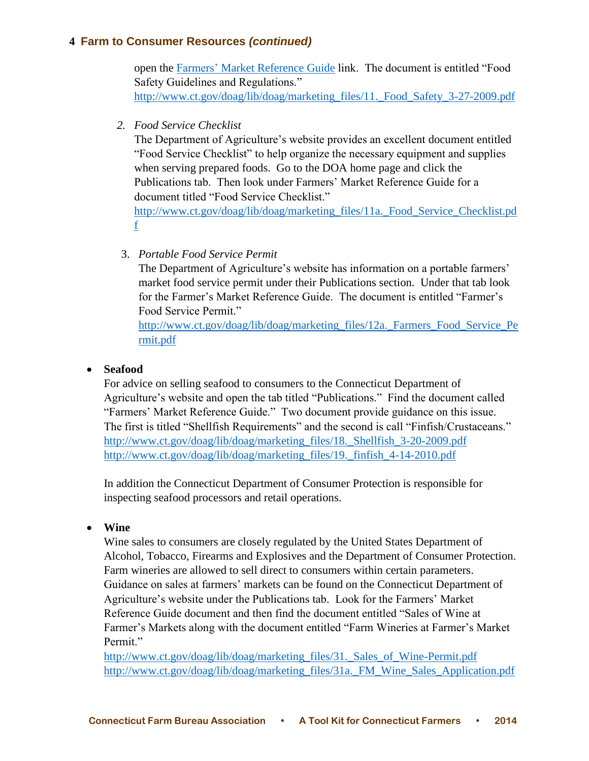open the Farmers' [Market Reference Guide](http://www.ct.gov/dcp/cwp/view.asp?a=1621&q=434780) link. The document is entitled "Food Safety Guidelines and Regulations." http://www.ct.gov/doag/lib/doag/marketing\_files/11. Food\_Safety\_3-27-2009.pdf

*2. Food Service Checklist*

The Department of Agriculture's website provides an excellent document entitled "Food Service Checklist" to help organize the necessary equipment and supplies when serving prepared foods. Go to the DOA home page and click the Publications tab. Then look under Farmers' Market Reference Guide for a document titled "Food Service Checklist."

[http://www.ct.gov/doag/lib/doag/marketing\\_files/11a.\\_Food\\_Service\\_Checklist.pd](http://www.ct.gov/doag/lib/doag/marketing_files/11a._Food_Service_Checklist.pdf) [f](http://www.ct.gov/doag/lib/doag/marketing_files/11a._Food_Service_Checklist.pdf)

3. *Portable Food Service Permit*

The Department of Agriculture's website has information on a portable farmers' market food service permit under their Publications section. Under that tab look for the Farmer's Market Reference Guide. The document is entitled "Farmer's Food Service Permit."

[http://www.ct.gov/doag/lib/doag/marketing\\_files/12a.\\_Farmers\\_Food\\_Service\\_Pe](http://www.ct.gov/doag/lib/doag/marketing_files/12a._Farmers_Food_Service_Permit.pdf) [rmit.pdf](http://www.ct.gov/doag/lib/doag/marketing_files/12a._Farmers_Food_Service_Permit.pdf)

## **Seafood**

For advice on selling seafood to consumers to the Connecticut Department of Agriculture's website and open the tab titled "Publications." Find the document called "Farmers' Market Reference Guide." Two document provide guidance on this issue. The first is titled "Shellfish Requirements" and the second is call "Finfish/Crustaceans." [http://www.ct.gov/doag/lib/doag/marketing\\_files/18.\\_Shellfish\\_3-20-2009.pdf](http://www.ct.gov/doag/lib/doag/marketing_files/18._Shellfish_3-20-2009.pdf) [http://www.ct.gov/doag/lib/doag/marketing\\_files/19.\\_finfish\\_4-14-2010.pdf](http://www.ct.gov/doag/lib/doag/marketing_files/19._finfish_4-14-2010.pdf)

In addition the Connecticut Department of Consumer Protection is responsible for inspecting seafood processors and retail operations.

## **Wine**

Wine sales to consumers are closely regulated by the United States Department of Alcohol, Tobacco, Firearms and Explosives and the Department of Consumer Protection. Farm wineries are allowed to sell direct to consumers within certain parameters. Guidance on sales at farmers' markets can be found on the Connecticut Department of Agriculture's website under the Publications tab. Look for the Farmers' Market Reference Guide document and then find the document entitled "Sales of Wine at Farmer's Markets along with the document entitled "Farm Wineries at Farmer's Market Permit."

[http://www.ct.gov/doag/lib/doag/marketing\\_files/31.\\_Sales\\_of\\_Wine-Permit.pdf](http://www.ct.gov/doag/lib/doag/marketing_files/31._Sales_of_Wine-Permit.pdf) [http://www.ct.gov/doag/lib/doag/marketing\\_files/31a.\\_FM\\_Wine\\_Sales\\_Application.pdf](http://www.ct.gov/doag/lib/doag/marketing_files/31a._FM_Wine_Sales_Application.pdf)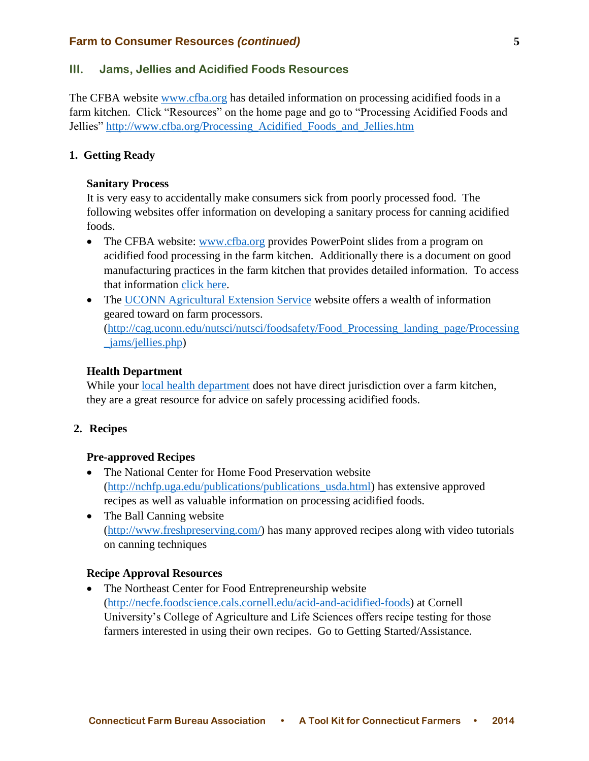## **III. Jams, Jellies and Acidified Foods Resources**

The CFBA website [www.cfba.org](http://www.cfba.org/) has detailed information on processing acidified foods in a farm kitchen. Click "Resources" on the home page and go to "Processing Acidified Foods and Jellies" [http://www.cfba.org/Processing\\_Acidified\\_Foods\\_and\\_Jellies.htm](http://www.cfba.org/Processing_Acidified_Foods_and_Jellies.htm)

## **1. Getting Ready**

#### **Sanitary Process**

It is very easy to accidentally make consumers sick from poorly processed food. The following websites offer information on developing a sanitary process for canning acidified foods.

- The CFBA website: [www.cfba.org](http://www.cfba.org/) provides PowerPoint slides from a program on acidified food processing in the farm kitchen. Additionally there is a document on good manufacturing practices in the farm kitchen that provides detailed information. To access that information [click here.](http://www.cfba.org/Processing_Acidified_Foods_and_Jellies.htm)
- The [UCONN Agricultural Extension Service](http://cag.uconn.edu/nutsci/nutsci/foodsafety/Food_Processing_landing_page/Processing_jams/jellies.php) website offers a wealth of information geared toward on farm processors. [\(http://cag.uconn.edu/nutsci/nutsci/foodsafety/Food\\_Processing\\_landing\\_page/Processing](http://cag.uconn.edu/nutsci/nutsci/foodsafety/Food_Processing_landing_page/Processing_jams/jellies.php) [\\_jams/jellies.php\)](http://cag.uconn.edu/nutsci/nutsci/foodsafety/Food_Processing_landing_page/Processing_jams/jellies.php)

## **Health Department**

While your [local health department](file:///C:/Users/TraceyM/AppData/Local/Microsoft/Windows/Temporary%20Internet%20Files/Content.Outlook/5XIMS1J7/(http:/www.ct.gov/dph/cwp/view.asp%3fa=3123&q=397740) does not have direct jurisdiction over a farm kitchen, they are a great resource for advice on safely processing acidified foods.

## **2. Recipes**

#### **Pre-approved Recipes**

- The National Center for Home Food Preservation website [\(http://nchfp.uga.edu/publications/publications\\_usda.html\)](http://nchfp.uga.edu/publications/publications_usda.html) has extensive approved recipes as well as valuable information on processing acidified foods.
- The Ball Canning website [\(http://www.freshpreserving.com/\)](http://www.freshpreserving.com/) has many approved recipes along with video tutorials on canning techniques

#### **Recipe Approval Resources**

• The Northeast Center for Food Entrepreneurship website [\(http://necfe.foodscience.cals.cornell.edu/acid-and-acidified-foods\)](http://necfe.foodscience.cals.cornell.edu/acid-and-acidified-foods) at Cornell University's College of Agriculture and Life Sciences offers recipe testing for those farmers interested in using their own recipes. Go to Getting Started/Assistance.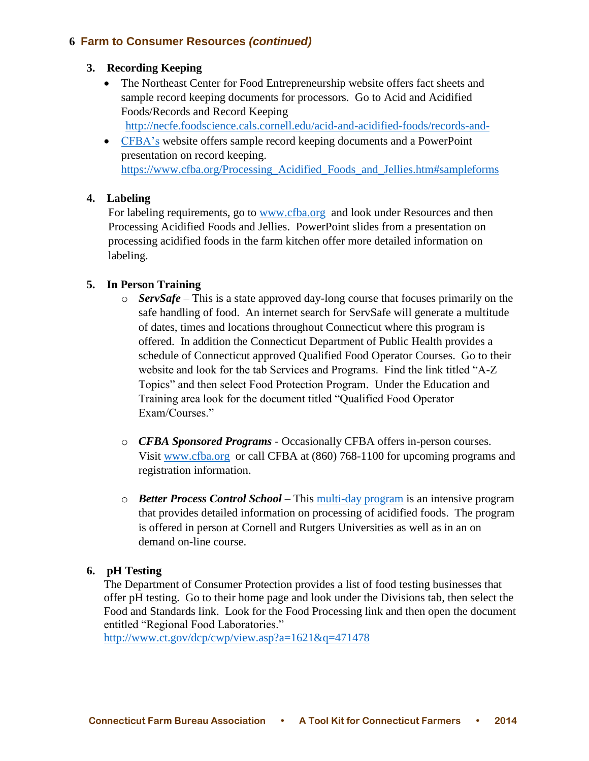## **3. Recording Keeping**

- The Northeast Center for Food Entrepreneurship website offers fact sheets and sample record keeping documents for processors. Go to Acid and Acidified Foods/Records and Record Keeping
	- <http://necfe.foodscience.cals.cornell.edu/acid-and-acidified-foods/records-and->
- [CFBA's](https://www.cfba.org/Processing_Acidified_Foods_and_Jellies.htm#sampleforms) website offers sample record keeping documents and a PowerPoint presentation on record keeping. [https://www.cfba.org/Processing\\_Acidified\\_Foods\\_and\\_Jellies.htm#sampleforms](https://www.cfba.org/Processing_Acidified_Foods_and_Jellies.htm#sampleforms)

## **4. Labeling**

For labeling requirements, go to [www.cfba.org](http://www.cfba.org/) and look under Resources and then Processing Acidified Foods and Jellies. PowerPoint slides from a presentation on processing acidified foods in the farm kitchen offer more detailed information on labeling.

## **5. In Person Training**

- o *ServSafe*  This is a state approved day-long course that focuses primarily on the safe handling of food. An internet search for ServSafe will generate a multitude of dates, times and locations throughout Connecticut where this program is offered. In addition the Connecticut Department of Public Health provides a schedule of Connecticut approved Qualified Food Operator Courses. Go to their website and look for the tab Services and Programs. Find the link titled "A-Z Topics" and then select Food Protection Program. Under the Education and Training area look for the document titled "Qualified Food Operator Exam/Courses."
- o *CFBA Sponsored Programs* Occasionally CFBA offers in-person courses. Visit [www.cfba.org](http://www.cfba.org/) or call CFBA at (860) 768-1100 for upcoming programs and registration information.
- o *Better Process Control School*  This [multi-day program](http://www.gmaonline.org/file-manager/Events/Bro_BPCS-011411.pdf) is an intensive program that provides detailed information on processing of acidified foods. The program is offered in person at Cornell and Rutgers Universities as well as in an on demand on-line course.

# **6. pH Testing**

The Department of Consumer Protection provides a list of food testing businesses that offer pH testing. Go to their home page and look under the Divisions tab, then select the Food and Standards link. Look for the Food Processing link and then open the document entitled "Regional Food Laboratories."

<http://www.ct.gov/dcp/cwp/view.asp?a=1621&q=471478>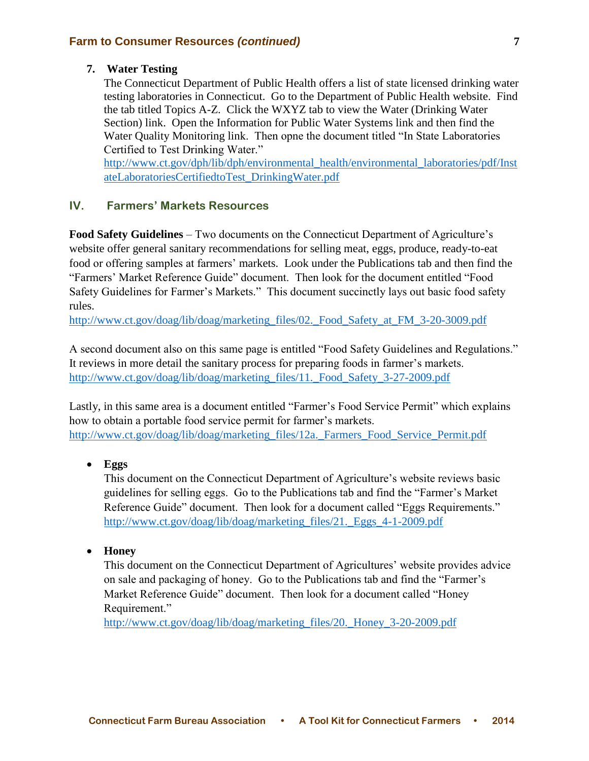#### **7. Water Testing**

The Connecticut Department of Public Health offers a list of state licensed drinking water testing laboratories in Connecticut. Go to the Department of Public Health website. Find the tab titled Topics A-Z. Click the WXYZ tab to view the Water (Drinking Water Section) link. Open the Information for Public Water Systems link and then find the Water Quality Monitoring link. Then opne the document titled "In State Laboratories Certified to Test Drinking Water."

[http://www.ct.gov/dph/lib/dph/environmental\\_health/environmental\\_laboratories/pdf/Inst](http://www.ct.gov/dph/lib/dph/environmental_health/environmental_laboratories/pdf/InstateLaboratoriesCertifiedtoTest_DrinkingWater.pdf) [ateLaboratoriesCertifiedtoTest\\_DrinkingWater.pdf](http://www.ct.gov/dph/lib/dph/environmental_health/environmental_laboratories/pdf/InstateLaboratoriesCertifiedtoTest_DrinkingWater.pdf)

## **IV. Farmers' Markets Resources**

**Food Safety Guidelines** – Two documents on the Connecticut Department of Agriculture's website offer general sanitary recommendations for selling meat, eggs, produce, ready-to-eat food or offering samples at farmers' markets. Look under the Publications tab and then find the "Farmers' Market Reference Guide" document. Then look for the document entitled "Food Safety Guidelines for Farmer's Markets." This document succinctly lays out basic food safety rules.

[http://www.ct.gov/doag/lib/doag/marketing\\_files/02.\\_Food\\_Safety\\_at\\_FM\\_3-20-3009.pdf](http://www.ct.gov/doag/lib/doag/marketing_files/02._Food_Safety_at_FM_3-20-3009.pdf)

A second document also on this same page is entitled "Food Safety Guidelines and Regulations." It reviews in more detail the sanitary process for preparing foods in farmer's markets. http://www.ct.gov/doag/lib/doag/marketing\_files/11. Food\_Safety\_3-27-2009.pdf

Lastly, in this same area is a document entitled "Farmer's Food Service Permit" which explains how to obtain a portable food service permit for farmer's markets. [http://www.ct.gov/doag/lib/doag/marketing\\_files/12a.\\_Farmers\\_Food\\_Service\\_Permit.pdf](http://www.ct.gov/doag/lib/doag/marketing_files/12a._Farmers_Food_Service_Permit.pdf)

**Eggs**

This document on the Connecticut Department of Agriculture's website reviews basic guidelines for selling eggs. Go to the Publications tab and find the "Farmer's Market Reference Guide" document. Then look for a document called "Eggs Requirements." [http://www.ct.gov/doag/lib/doag/marketing\\_files/21.\\_Eggs\\_4-1-2009.pdf](http://www.ct.gov/doag/lib/doag/marketing_files/21._Eggs_4-1-2009.pdf)

**Honey** 

This document on the Connecticut Department of Agricultures' website provides advice on sale and packaging of honey. Go to the Publications tab and find the "Farmer's Market Reference Guide" document. Then look for a document called "Honey Requirement."

[http://www.ct.gov/doag/lib/doag/marketing\\_files/20.\\_Honey\\_3-20-2009.pdf](http://www.ct.gov/doag/lib/doag/marketing_files/20._Honey_3-20-2009.pdf)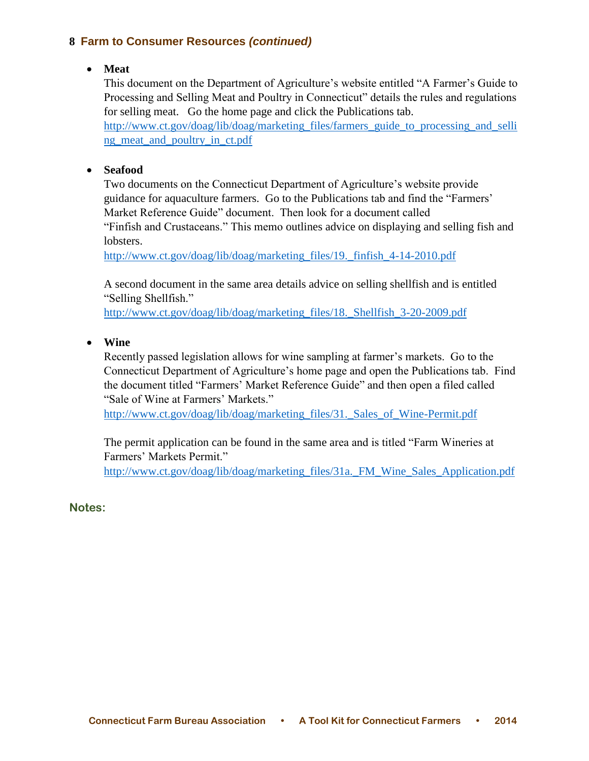## **Meat**

This document on the Department of Agriculture's website entitled "A Farmer's Guide to Processing and Selling Meat and Poultry in Connecticut" details the rules and regulations for selling meat. Go the home page and click the Publications tab.

[http://www.ct.gov/doag/lib/doag/marketing\\_files/farmers\\_guide\\_to\\_processing\\_and\\_selli](http://www.ct.gov/doag/lib/doag/marketing_files/farmers_guide_to_processing_and_selling_meat_and_poultry_in_ct.pdf) ng meat and poultry in ct.pdf

## **Seafood**

Two documents on the Connecticut Department of Agriculture's website provide guidance for aquaculture farmers. Go to the Publications tab and find the "Farmers' Market Reference Guide" document. Then look for a document called "Finfish and Crustaceans." This memo outlines advice on displaying and selling fish and lobsters.

[http://www.ct.gov/doag/lib/doag/marketing\\_files/19.\\_finfish\\_4-14-2010.pdf](http://www.ct.gov/doag/lib/doag/marketing_files/19._finfish_4-14-2010.pdf)

A second document in the same area details advice on selling shellfish and is entitled "Selling Shellfish."

[http://www.ct.gov/doag/lib/doag/marketing\\_files/18.\\_Shellfish\\_3-20-2009.pdf](http://www.ct.gov/doag/lib/doag/marketing_files/18._Shellfish_3-20-2009.pdf)

**Wine**

Recently passed legislation allows for wine sampling at farmer's markets. Go to the Connecticut Department of Agriculture's home page and open the Publications tab. Find the document titled "Farmers' Market Reference Guide" and then open a filed called "Sale of Wine at Farmers' Markets."

[http://www.ct.gov/doag/lib/doag/marketing\\_files/31.\\_Sales\\_of\\_Wine-Permit.pdf](http://www.ct.gov/doag/lib/doag/marketing_files/31._Sales_of_Wine-Permit.pdf)

The permit application can be found in the same area and is titled "Farm Wineries at Farmers' Markets Permit."

http://www.ct.gov/doag/lib/doag/marketing\_files/31a. FM\_Wine\_Sales\_Application.pdf

**Notes:**